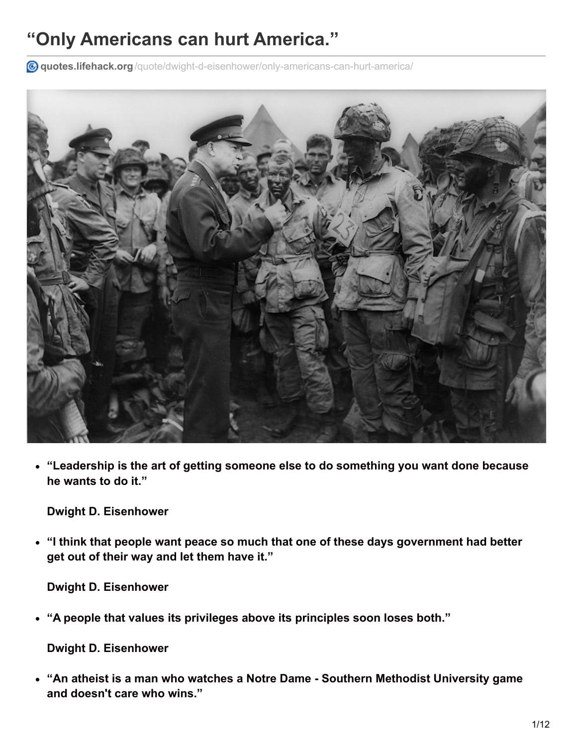## **"Only Americans can hurt America."**

**quotes.lifehack.org**[/quote/dwight-d-eisenhower/only-americans-can-hurt-america/](http://quotes.lifehack.org/quote/dwight-d-eisenhower/only-americans-can-hurt-america/)



**"Leadership is the art of getting someone else to do something you want done because he wants to do it."**

**Dwight D. Eisenhower**

**"I think that people want peace so much that one of these days government had better get out of their way and let them have it."**

**Dwight D. Eisenhower**

**"A people that values its privileges above its principles soon loses both."**

**Dwight D. Eisenhower**

**"An atheist is a man who watches a Notre Dame - Southern Methodist University game and doesn't care who wins."**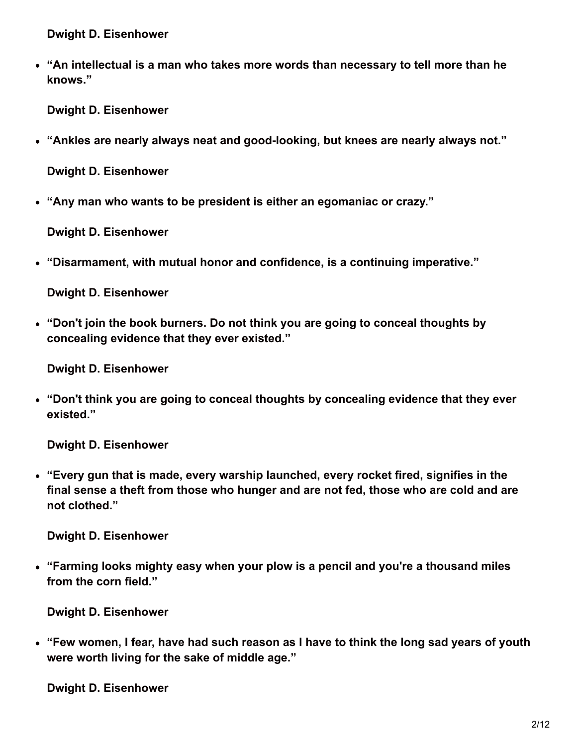**"An intellectual is a man who takes more words than necessary to tell more than he knows."**

**Dwight D. Eisenhower**

**"Ankles are nearly always neat and good-looking, but knees are nearly always not."**

**Dwight D. Eisenhower**

**"Any man who wants to be president is either an egomaniac or crazy."**

**Dwight D. Eisenhower**

**"Disarmament, with mutual honor and confidence, is a continuing imperative."**

**Dwight D. Eisenhower**

**"Don't join the book burners. Do not think you are going to conceal thoughts by concealing evidence that they ever existed."**

**Dwight D. Eisenhower**

**"Don't think you are going to conceal thoughts by concealing evidence that they ever existed."**

**Dwight D. Eisenhower**

**"Every gun that is made, every warship launched, every rocket fired, signifies in the final sense a theft from those who hunger and are not fed, those who are cold and are not clothed."**

**Dwight D. Eisenhower**

**"Farming looks mighty easy when your plow is a pencil and you're a thousand miles from the corn field."**

**Dwight D. Eisenhower**

**"Few women, I fear, have had such reason as I have to think the long sad years of youth were worth living for the sake of middle age."**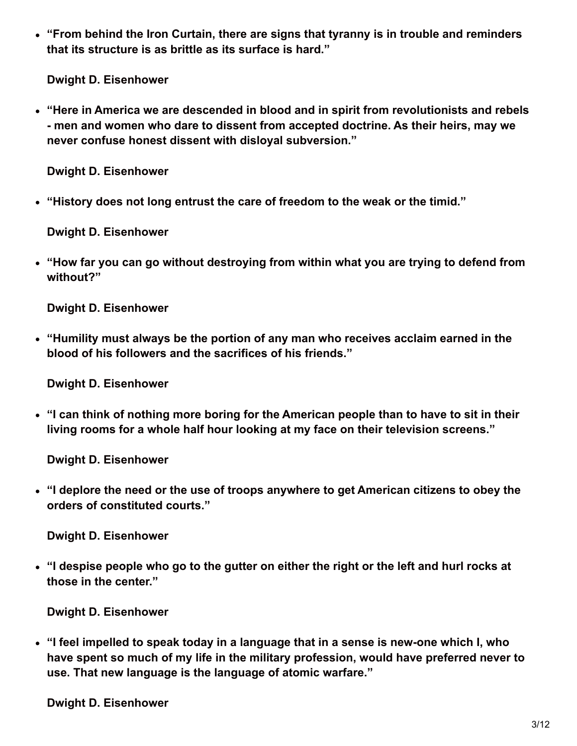**"From behind the Iron Curtain, there are signs that tyranny is in trouble and reminders that its structure is as brittle as its surface is hard."**

**Dwight D. Eisenhower**

**"Here in America we are descended in blood and in spirit from revolutionists and rebels - men and women who dare to dissent from accepted doctrine. As their heirs, may we never confuse honest dissent with disloyal subversion."**

**Dwight D. Eisenhower**

**"History does not long entrust the care of freedom to the weak or the timid."**

**Dwight D. Eisenhower**

**"How far you can go without destroying from within what you are trying to defend from without?"**

**Dwight D. Eisenhower**

**"Humility must always be the portion of any man who receives acclaim earned in the blood of his followers and the sacrifices of his friends."**

**Dwight D. Eisenhower**

**"I can think of nothing more boring for the American people than to have to sit in their living rooms for a whole half hour looking at my face on their television screens."**

**Dwight D. Eisenhower**

**"I deplore the need or the use of troops anywhere to get American citizens to obey the orders of constituted courts."**

**Dwight D. Eisenhower**

**"I despise people who go to the gutter on either the right or the left and hurl rocks at those in the center."**

**Dwight D. Eisenhower**

**"I feel impelled to speak today in a language that in a sense is new-one which I, who have spent so much of my life in the military profession, would have preferred never to use. That new language is the language of atomic warfare."**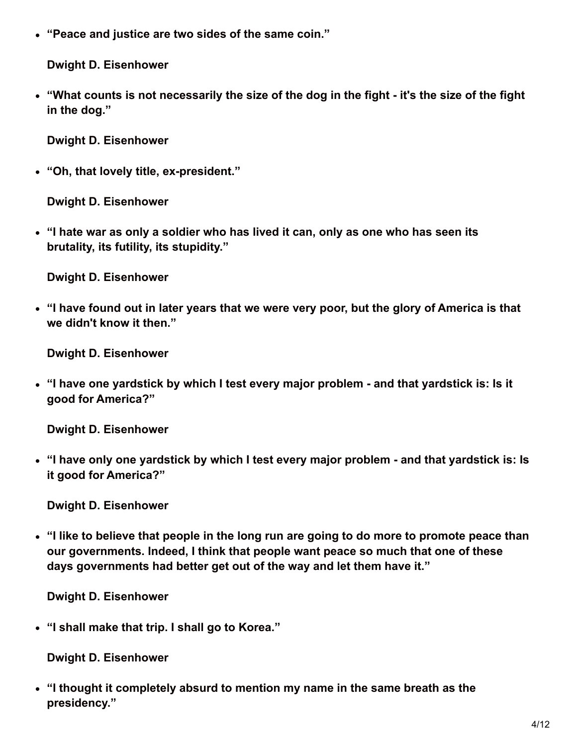**"Peace and justice are two sides of the same coin."**

**Dwight D. Eisenhower**

• "What counts is not necessarily the size of the dog in the fight - it's the size of the fight **in the dog."**

**Dwight D. Eisenhower**

**"Oh, that lovely title, ex-president."**

**Dwight D. Eisenhower**

**"I hate war as only a soldier who has lived it can, only as one who has seen its brutality, its futility, its stupidity."**

**Dwight D. Eisenhower**

**"I have found out in later years that we were very poor, but the glory of America is that we didn't know it then."**

**Dwight D. Eisenhower**

**"I have one yardstick by which I test every major problem - and that yardstick is: Is it good for America?"**

**Dwight D. Eisenhower**

**"I have only one yardstick by which I test every major problem - and that yardstick is: Is it good for America?"**

**Dwight D. Eisenhower**

**"I like to believe that people in the long run are going to do more to promote peace than our governments. Indeed, I think that people want peace so much that one of these days governments had better get out of the way and let them have it."**

**Dwight D. Eisenhower**

**"I shall make that trip. I shall go to Korea."**

**Dwight D. Eisenhower**

**"I thought it completely absurd to mention my name in the same breath as the presidency."**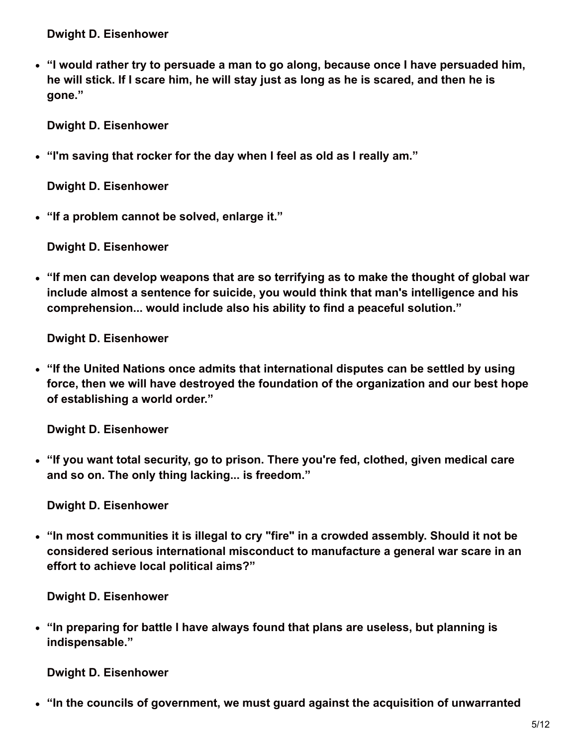**"I would rather try to persuade a man to go along, because once I have persuaded him,** he will stick. If I scare him, he will stay just as long as he is scared, and then he is **gone."**

**Dwight D. Eisenhower**

**"I'm saving that rocker for the day when I feel as old as I really am."**

**Dwight D. Eisenhower**

**"If a problem cannot be solved, enlarge it."**

**Dwight D. Eisenhower**

**"If men can develop weapons that are so terrifying as to make the thought of global war include almost a sentence for suicide, you would think that man's intelligence and his comprehension... would include also his ability to find a peaceful solution."**

**Dwight D. Eisenhower**

**"If the United Nations once admits that international disputes can be settled by using force, then we will have destroyed the foundation of the organization and our best hope of establishing a world order."**

**Dwight D. Eisenhower**

**"If you want total security, go to prison. There you're fed, clothed, given medical care and so on. The only thing lacking... is freedom."**

**Dwight D. Eisenhower**

**"In most communities it is illegal to cry "fire" in a crowded assembly. Should it not be considered serious international misconduct to manufacture a general war scare in an effort to achieve local political aims?"**

**Dwight D. Eisenhower**

**"In preparing for battle I have always found that plans are useless, but planning is indispensable."**

**Dwight D. Eisenhower**

**"In the councils of government, we must guard against the acquisition of unwarranted**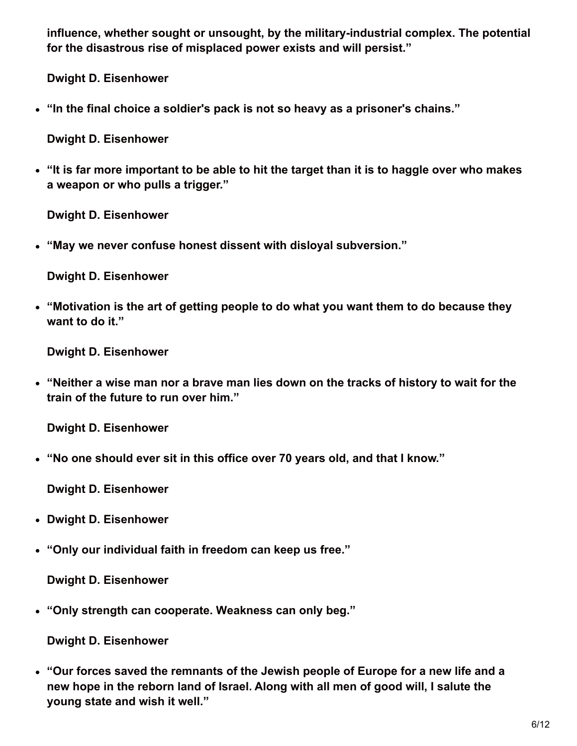**influence, whether sought or unsought, by the military-industrial complex. The potential for the disastrous rise of misplaced power exists and will persist."**

**Dwight D. Eisenhower**

**"In the final choice a soldier's pack is not so heavy as a prisoner's chains."**

**Dwight D. Eisenhower**

• "It is far more important to be able to hit the target than it is to haggle over who makes **a weapon or who pulls a trigger."**

**Dwight D. Eisenhower**

**"May we never confuse honest dissent with disloyal subversion."**

**Dwight D. Eisenhower**

**"Motivation is the art of getting people to do what you want them to do because they want to do it."**

**Dwight D. Eisenhower**

**"Neither a wise man nor a brave man lies down on the tracks of history to wait for the train of the future to run over him."**

**Dwight D. Eisenhower**

**"No one should ever sit in this office over 70 years old, and that I know."**

**Dwight D. Eisenhower**

- **Dwight D. Eisenhower**
- **"Only our individual faith in freedom can keep us free."**

**Dwight D. Eisenhower**

**"Only strength can cooperate. Weakness can only beg."**

**Dwight D. Eisenhower**

**"Our forces saved the remnants of the Jewish people of Europe for a new life and a new hope in the reborn land of Israel. Along with all men of good will, I salute the young state and wish it well."**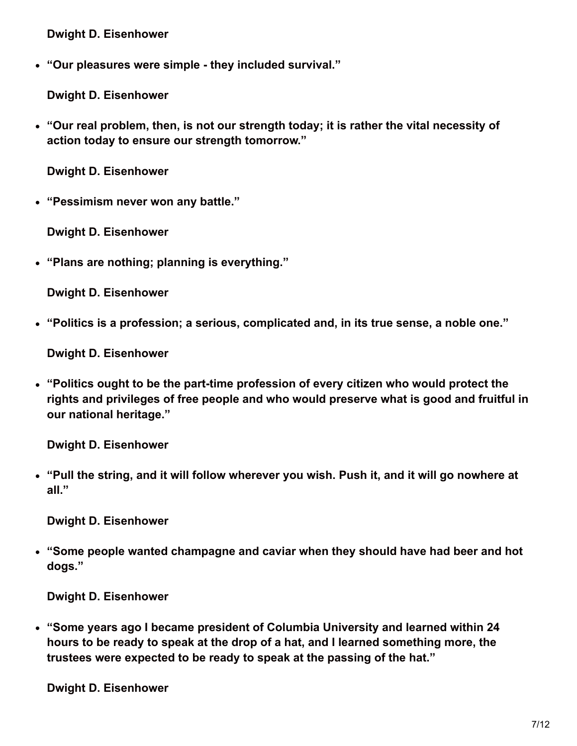**"Our pleasures were simple - they included survival."**

**Dwight D. Eisenhower**

**"Our real problem, then, is not our strength today; it is rather the vital necessity of action today to ensure our strength tomorrow."**

**Dwight D. Eisenhower**

**"Pessimism never won any battle."**

**Dwight D. Eisenhower**

**"Plans are nothing; planning is everything."**

**Dwight D. Eisenhower**

**"Politics is a profession; a serious, complicated and, in its true sense, a noble one."**

**Dwight D. Eisenhower**

**"Politics ought to be the part-time profession of every citizen who would protect the rights and privileges of free people and who would preserve what is good and fruitful in our national heritage."**

**Dwight D. Eisenhower**

**"Pull the string, and it will follow wherever you wish. Push it, and it will go nowhere at all."**

**Dwight D. Eisenhower**

**"Some people wanted champagne and caviar when they should have had beer and hot dogs."**

**Dwight D. Eisenhower**

**"Some years ago I became president of Columbia University and learned within 24 hours to be ready to speak at the drop of a hat, and I learned something more, the trustees were expected to be ready to speak at the passing of the hat."**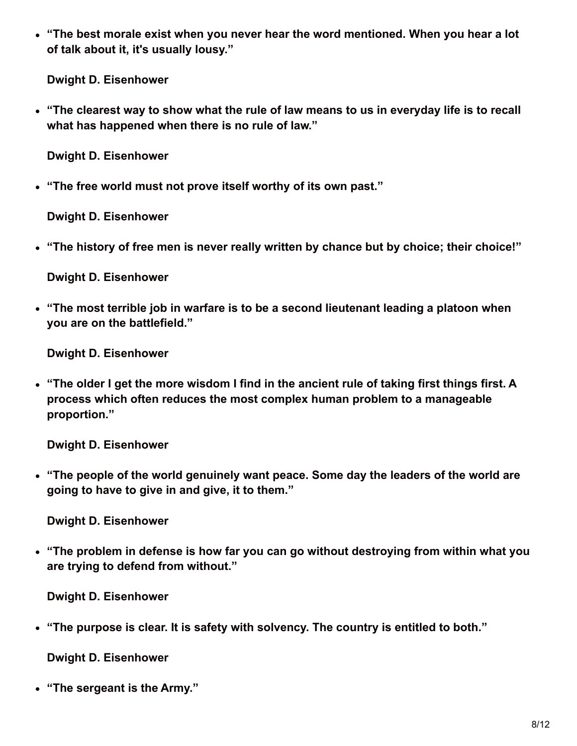**"The best morale exist when you never hear the word mentioned. When you hear a lot of talk about it, it's usually lousy."**

**Dwight D. Eisenhower**

**"The clearest way to show what the rule of law means to us in everyday life is to recall what has happened when there is no rule of law."**

**Dwight D. Eisenhower**

**"The free world must not prove itself worthy of its own past."**

**Dwight D. Eisenhower**

**"The history of free men is never really written by chance but by choice; their choice!"**

**Dwight D. Eisenhower**

**"The most terrible job in warfare is to be a second lieutenant leading a platoon when you are on the battlefield."**

**Dwight D. Eisenhower**

**"The older I get the more wisdom I find in the ancient rule of taking first things first. A process which often reduces the most complex human problem to a manageable proportion."**

**Dwight D. Eisenhower**

**"The people of the world genuinely want peace. Some day the leaders of the world are going to have to give in and give, it to them."**

**Dwight D. Eisenhower**

**"The problem in defense is how far you can go without destroying from within what you are trying to defend from without."**

**Dwight D. Eisenhower**

**"The purpose is clear. It is safety with solvency. The country is entitled to both."**

**Dwight D. Eisenhower**

**"The sergeant is the Army."**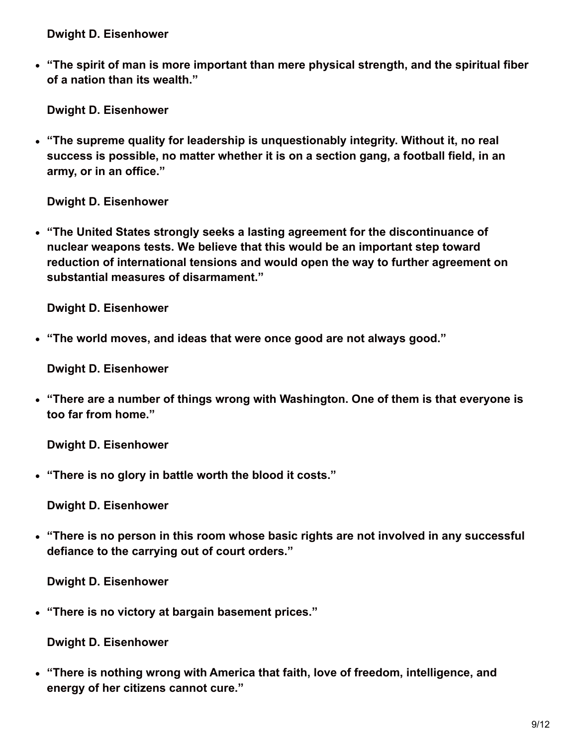**"The spirit of man is more important than mere physical strength, and the spiritual fiber of a nation than its wealth."**

**Dwight D. Eisenhower**

**"The supreme quality for leadership is unquestionably integrity. Without it, no real success is possible, no matter whether it is on a section gang, a football field, in an army, or in an office."**

**Dwight D. Eisenhower**

**"The United States strongly seeks a lasting agreement for the discontinuance of nuclear weapons tests. We believe that this would be an important step toward reduction of international tensions and would open the way to further agreement on substantial measures of disarmament."**

**Dwight D. Eisenhower**

**"The world moves, and ideas that were once good are not always good."**

**Dwight D. Eisenhower**

**"There are a number of things wrong with Washington. One of them is that everyone is too far from home."**

**Dwight D. Eisenhower**

**"There is no glory in battle worth the blood it costs."**

**Dwight D. Eisenhower**

**"There is no person in this room whose basic rights are not involved in any successful defiance to the carrying out of court orders."**

**Dwight D. Eisenhower**

**"There is no victory at bargain basement prices."**

**Dwight D. Eisenhower**

**"There is nothing wrong with America that faith, love of freedom, intelligence, and energy of her citizens cannot cure."**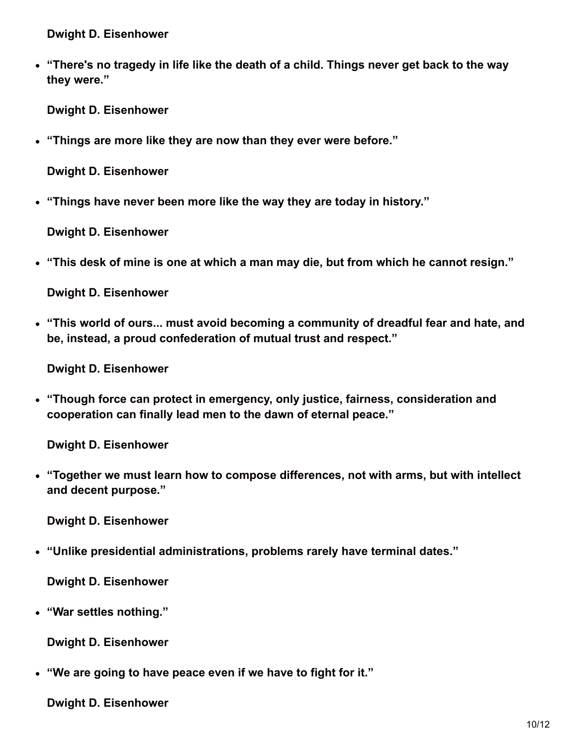**"There's no tragedy in life like the death of a child. Things never get back to the way they were."**

**Dwight D. Eisenhower**

**"Things are more like they are now than they ever were before."**

**Dwight D. Eisenhower**

**"Things have never been more like the way they are today in history."**

**Dwight D. Eisenhower**

**"This desk of mine is one at which a man may die, but from which he cannot resign."**

**Dwight D. Eisenhower**

**"This world of ours... must avoid becoming a community of dreadful fear and hate, and be, instead, a proud confederation of mutual trust and respect."**

**Dwight D. Eisenhower**

**"Though force can protect in emergency, only justice, fairness, consideration and cooperation can finally lead men to the dawn of eternal peace."**

**Dwight D. Eisenhower**

**"Together we must learn how to compose differences, not with arms, but with intellect and decent purpose."**

**Dwight D. Eisenhower**

**"Unlike presidential administrations, problems rarely have terminal dates."**

**Dwight D. Eisenhower**

**"War settles nothing."**

**Dwight D. Eisenhower**

**"We are going to have peace even if we have to fight for it."**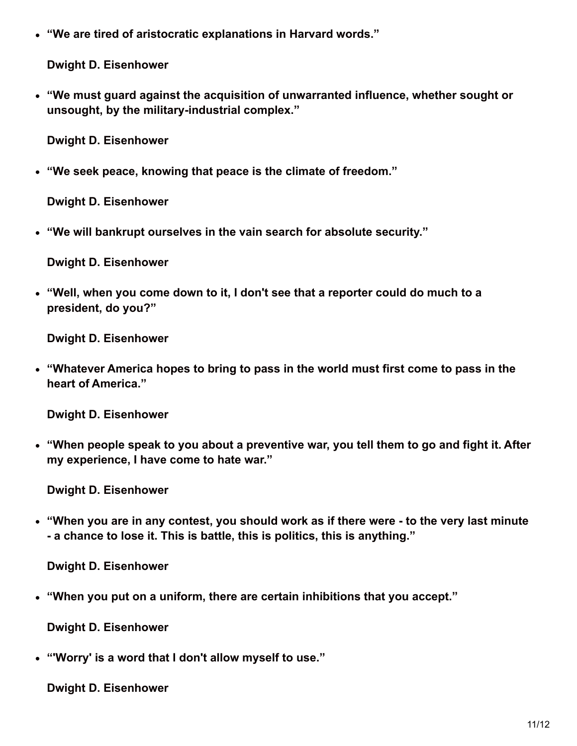**"We are tired of aristocratic explanations in Harvard words."**

**Dwight D. Eisenhower**

**"We must guard against the acquisition of unwarranted influence, whether sought or unsought, by the military-industrial complex."**

**Dwight D. Eisenhower**

**"We seek peace, knowing that peace is the climate of freedom."**

**Dwight D. Eisenhower**

**"We will bankrupt ourselves in the vain search for absolute security."**

**Dwight D. Eisenhower**

**"Well, when you come down to it, I don't see that a reporter could do much to a president, do you?"**

**Dwight D. Eisenhower**

**"Whatever America hopes to bring to pass in the world must first come to pass in the heart of America."**

**Dwight D. Eisenhower**

**"When people speak to you about a preventive war, you tell them to go and fight it. After my experience, I have come to hate war."**

**Dwight D. Eisenhower**

**"When you are in any contest, you should work as if there were - to the very last minute - a chance to lose it. This is battle, this is politics, this is anything."**

**Dwight D. Eisenhower**

**"When you put on a uniform, there are certain inhibitions that you accept."**

**Dwight D. Eisenhower**

**"'Worry' is a word that I don't allow myself to use."**